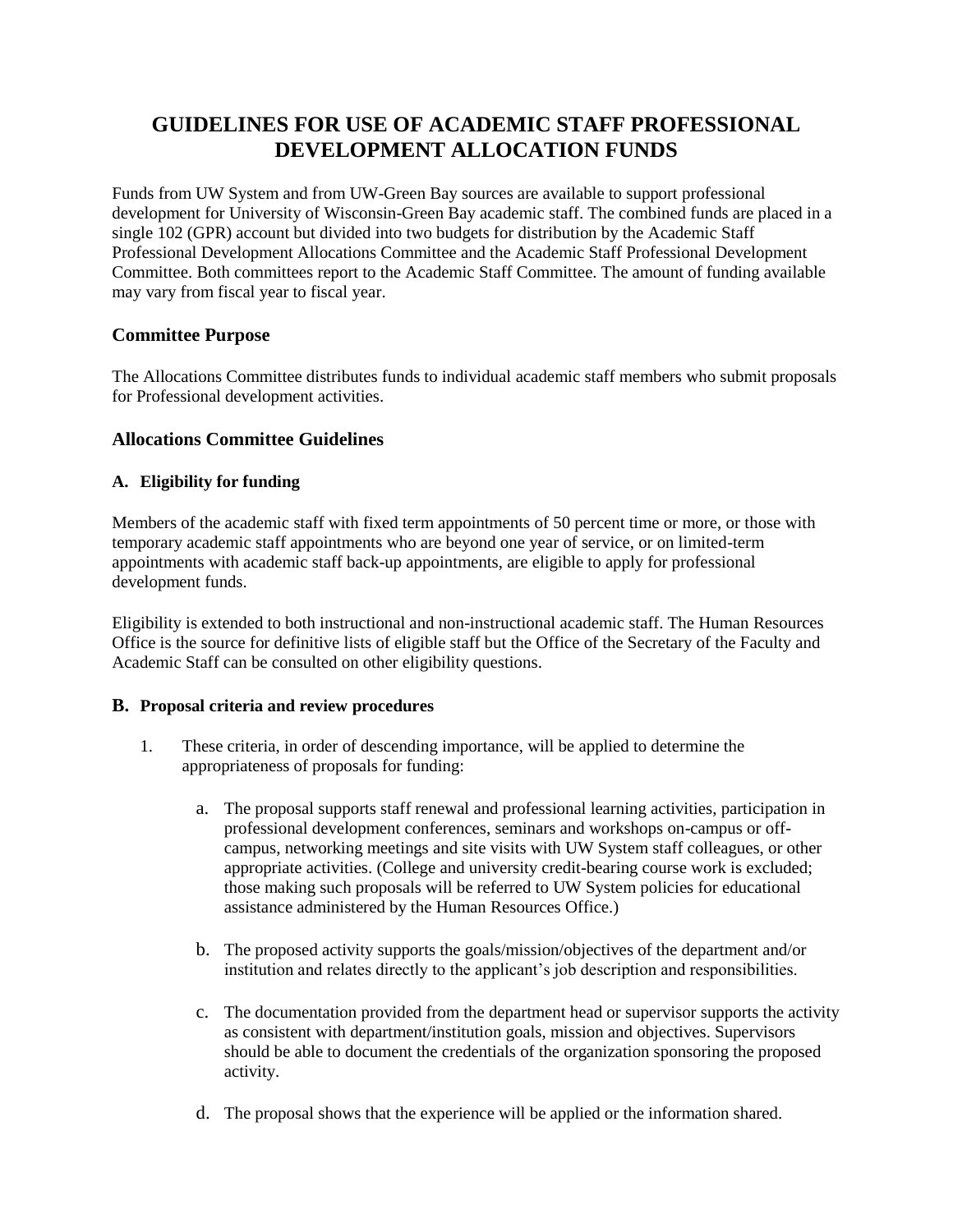# **GUIDELINES FOR USE OF ACADEMIC STAFF PROFESSIONAL DEVELOPMENT ALLOCATION FUNDS**

Funds from UW System and from UW-Green Bay sources are available to support professional development for University of Wisconsin-Green Bay academic staff. The combined funds are placed in a single 102 (GPR) account but divided into two budgets for distribution by the Academic Staff Professional Development Allocations Committee and the Academic Staff Professional Development Committee. Both committees report to the Academic Staff Committee. The amount of funding available may vary from fiscal year to fiscal year.

# **Committee Purpose**

The Allocations Committee distributes funds to individual academic staff members who submit proposals for Professional development activities.

# **Allocations Committee Guidelines**

## **A. Eligibility for funding**

Members of the academic staff with fixed term appointments of 50 percent time or more, or those with temporary academic staff appointments who are beyond one year of service, or on limited-term appointments with academic staff back-up appointments, are eligible to apply for professional development funds.

Eligibility is extended to both instructional and non-instructional academic staff. The Human Resources Office is the source for definitive lists of eligible staff but the Office of the Secretary of the Faculty and Academic Staff can be consulted on other eligibility questions.

## **B. Proposal criteria and review procedures**

- 1. These criteria, in order of descending importance, will be applied to determine the appropriateness of proposals for funding:
	- a. The proposal supports staff renewal and professional learning activities, participation in professional development conferences, seminars and workshops on-campus or offcampus, networking meetings and site visits with UW System staff colleagues, or other appropriate activities. (College and university credit-bearing course work is excluded; those making such proposals will be referred to UW System policies for educational assistance administered by the Human Resources Office.)
	- b. The proposed activity supports the goals/mission/objectives of the department and/or institution and relates directly to the applicant's job description and responsibilities.
	- c. The documentation provided from the department head or supervisor supports the activity as consistent with department/institution goals, mission and objectives. Supervisors should be able to document the credentials of the organization sponsoring the proposed activity.
	- d. The proposal shows that the experience will be applied or the information shared.